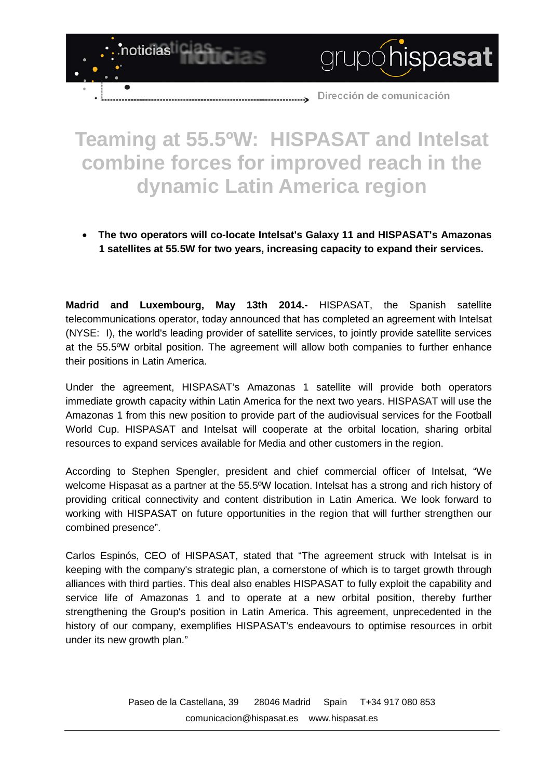Dirección de comunicación

grupóhispasat

## **Teaming at 55.5ºW: HISPASAT and Intelsat combine forces for improved reach in the dynamic Latin America region**

---------->

noticias

• **The two operators will co-locate Intelsat's Galaxy 11 and HISPASAT's Amazonas 1 satellites at 55.5W for two years, increasing capacity to expand their services.**

**Madrid and Luxembourg, May 13th 2014.-** HISPASAT, the Spanish satellite telecommunications operator, today announced that has completed an agreement with Intelsat (NYSE: I), the world's leading provider of satellite services, to jointly provide satellite services at the 55.5ºW orbital position. The agreement will allow both companies to further enhance their positions in Latin America.

Under the agreement, HISPASAT's Amazonas 1 satellite will provide both operators immediate growth capacity within Latin America for the next two years. HISPASAT will use the Amazonas 1 from this new position to provide part of the audiovisual services for the Football World Cup. HISPASAT and Intelsat will cooperate at the orbital location, sharing orbital resources to expand services available for Media and other customers in the region.

According to Stephen Spengler, president and chief commercial officer of Intelsat, "We welcome Hispasat as a partner at the 55.5ºW location. Intelsat has a strong and rich history of providing critical connectivity and content distribution in Latin America. We look forward to working with HISPASAT on future opportunities in the region that will further strengthen our combined presence".

Carlos Espinós, CEO of HISPASAT, stated that "The agreement struck with Intelsat is in keeping with the company's strategic plan, a cornerstone of which is to target growth through alliances with third parties. This deal also enables HISPASAT to fully exploit the capability and service life of Amazonas 1 and to operate at a new orbital position, thereby further strengthening the Group's position in Latin America. This agreement, unprecedented in the history of our company, exemplifies HISPASAT's endeavours to optimise resources in orbit under its new growth plan."